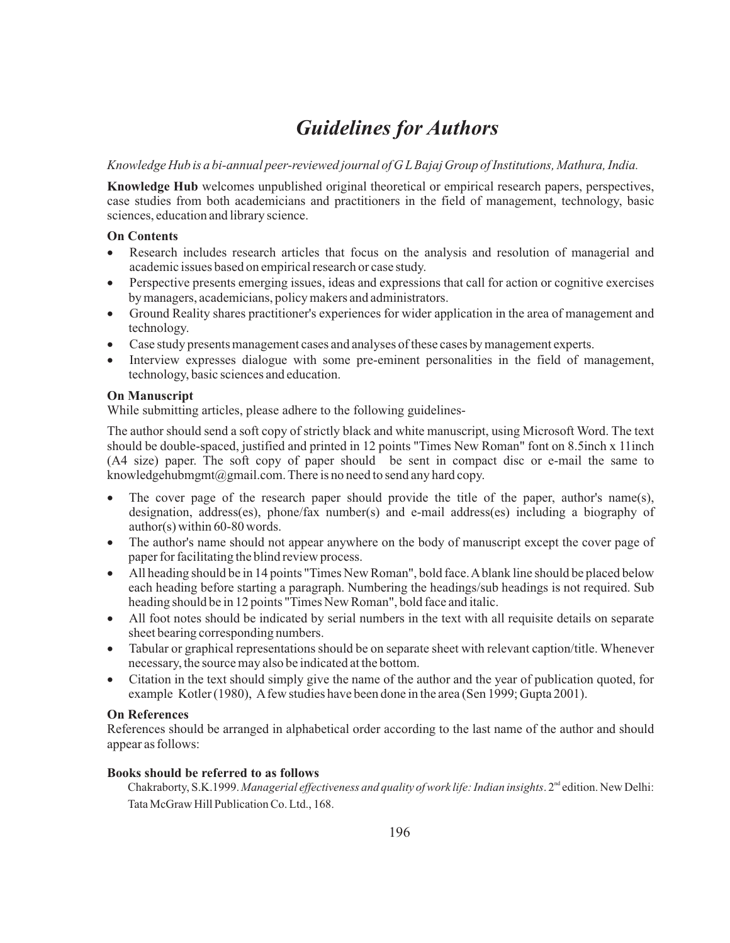# *Guidelines for Authors*

# *Knowledge Hub is a bi-annual peer-reviewed journal of G LBajaj Group of Institutions, Mathura, India.*

**Knowledge Hub** welcomes unpublished original theoretical or empirical research papers, perspectives, case studies from both academicians and practitioners in the field of management, technology, basic sciences, education and library science.

# **On Contents**

- Research includes research articles that focus on the analysis and resolution of managerial and academic issues based on empirical research or case study.
- Perspective presents emerging issues, ideas and expressions that call for action or cognitive exercises by managers, academicians, policy makers and administrators.
- Ground Reality shares practitioner's experiences for wider application in the area of management and technology.
- Case study presents management cases and analyses of these cases by management experts.
- Interview expresses dialogue with some pre-eminent personalities in the field of management, technology, basic sciences and education.

## **On Manuscript**

While submitting articles, please adhere to the following guidelines-

The author should send a soft copy of strictly black and white manuscript, using Microsoft Word. The text should be double-spaced, justified and printed in 12 points "Times New Roman" font on 8.5inch x 11inch (A4 size) paper. The soft copy of paper should be sent in compact disc or e-mail the same to knowledgehubmgmt@gmail.com. There is no need to send any hard copy.

- The cover page of the research paper should provide the title of the paper, author's name(s), designation, address(es), phone/fax number(s) and e-mail address(es) including a biography of author(s) within 60-80 words.
- The author's name should not appear anywhere on the body of manuscript except the cover page of paper for facilitating the blind review process.
- All heading should be in 14 points "Times New Roman", bold face. Ablank line should be placed below each heading before starting a paragraph. Numbering the headings/sub headings is not required. Sub heading should be in 12 points "Times New Roman", bold face and italic.
- All foot notes should be indicated by serial numbers in the text with all requisite details on separate sheet bearing corresponding numbers.
- Tabular or graphical representations should be on separate sheet with relevant caption/title. Whenever necessary, the source may also be indicated at the bottom.
- Citation in the text should simply give the name of the author and the year of publication quoted, for example Kotler (1980), Afew studies have been done in the area (Sen 1999; Gupta 2001).

# **On References**

References should be arranged in alphabetical order according to the last name of the author and should appear as follows:

## **Books should be referred to as follows**

Chakraborty, S.K.1999. *Managerial effectiveness and quality of work life: Indian insights*. 2<sup>nd</sup> edition. New Delhi: Tata McGraw Hill Publication Co. Ltd., 168.